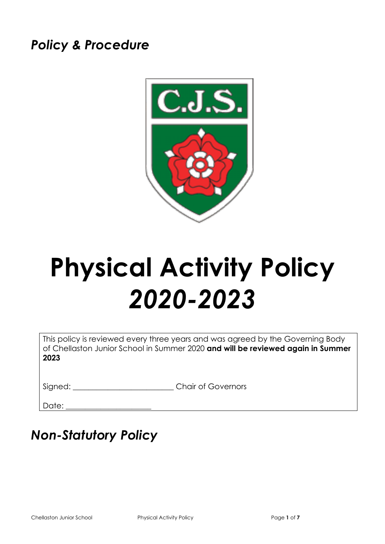# *Policy & Procedure*



# **Physical Activity Policy** *2020-2023*

This policy is reviewed every three years and was agreed by the Governing Body of Chellaston Junior School in Summer 2020 **and will be reviewed again in Summer 2023**

Signed: \_\_\_\_\_\_\_\_\_\_\_\_\_\_\_\_\_\_\_\_\_\_\_\_\_\_\_\_\_\_Chair of Governors

Date:

# *Non-Statutory Policy*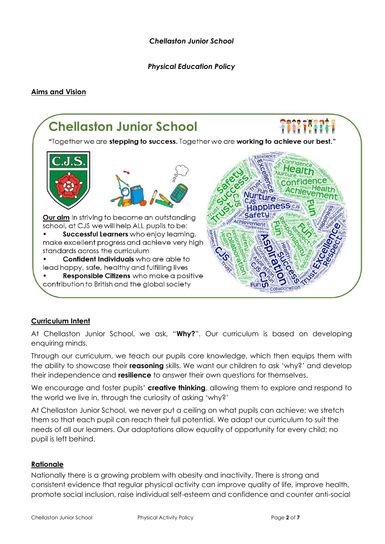*Chellaston Junior School*

*Physical Education Policy* 

#### **Aims and Vision**



# **Curriculum Intent**

At Chellaston Junior School, we ask, "**Why?**". Our curriculum is based on developing enquiring minds.

Through our curriculum, we teach our pupils core knowledge, which then equips them with the ability to showcase their **reasoning** skills. We want our children to ask 'why?' and develop their independence and **resilience** to answer their own questions for themselves.

We encourage and foster pupils' **creative thinking**, allowing them to explore and respond to the world we live in, through the curiosity of asking 'why?'

At Chellaston Junior School, we never put a ceiling on what pupils can achieve; we stretch them so that each pupil can reach their full potential. We adapt our curriculum to suit the needs of all our learners. Our adaptations allow equality of opportunity for every child; no pupil is left behind.

#### **Rationale**

Nationally there is a growing problem with obesity and inactivity. There is strong and consistent evidence that regular physical activity can improve quality of life, improve health, promote social inclusion, raise individual self-esteem and confidence and counter anti-social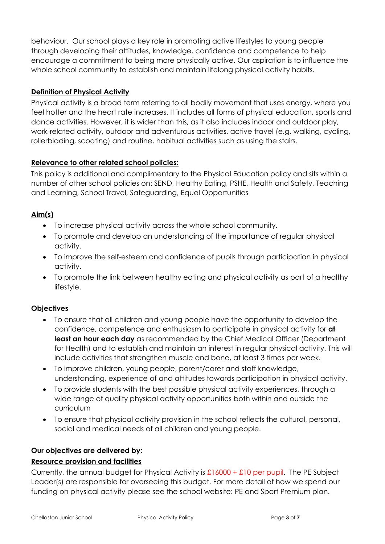behaviour. Our school plays a key role in promoting active lifestyles to young people through developing their attitudes, knowledge, confidence and competence to help encourage a commitment to being more physically active. Our aspiration is to influence the whole school community to establish and maintain lifelong physical activity habits.

## **Definition of Physical Activity**

Physical activity is a broad term referring to all bodily movement that uses energy, where you feel hotter and the heart rate increases. It includes all forms of physical education, sports and dance activities. However, it is wider than this, as it also includes indoor and outdoor play, work-related activity, outdoor and adventurous activities, active travel (e.g. walking, cycling, rollerblading, scooting) and routine, habitual activities such as using the stairs.

## **Relevance to other related school policies:**

This policy is additional and complimentary to the Physical Education policy and sits within a number of other school policies on: SEND, Healthy Eating, PSHE, Health and Safety, Teaching and Learning, School Travel, Safeguarding, Equal Opportunities

# **Aim(s)**

- To increase physical activity across the whole school community.
- To promote and develop an understanding of the importance of regular physical activity.
- To improve the self-esteem and confidence of pupils through participation in physical activity.
- To promote the link between healthy eating and physical activity as part of a healthy lifestyle.

# **Objectives**

- To ensure that all children and young people have the opportunity to develop the confidence, competence and enthusiasm to participate in physical activity for **at least an hour each day** as recommended by the Chief Medical Officer (Department for Health) and to establish and maintain an interest in regular physical activity. This will include activities that strengthen muscle and bone, at least 3 times per week.
- To improve children, young people, parent/carer and staff knowledge, understanding, experience of and attitudes towards participation in physical activity.
- To provide students with the best possible physical activity experiences, through a wide range of quality physical activity opportunities both within and outside the curriculum
- To ensure that physical activity provision in the school reflects the cultural, personal, social and medical needs of all children and young people.

#### **Our objectives are delivered by:**

#### **Resource provision and facilities**

Currently, the annual budget for Physical Activity is  $\pounds16000 + \pounds10$  per pupil. The PE Subject Leader(s) are responsible for overseeing this budget. For more detail of how we spend our funding on physical activity please see the school website: PE and Sport Premium plan.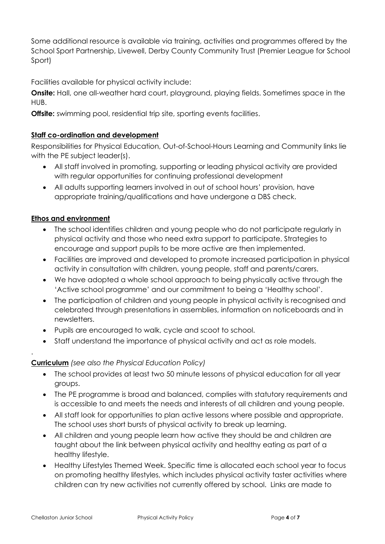Some additional resource is available via training, activities and programmes offered by the School Sport Partnership, Livewell, Derby County Community Trust (Premier League for School Sport)

Facilities available for physical activity include:

**Onsite:** Hall, one all-weather hard court, playground, playing fields. Sometimes space in the HUB.

**Offsite:** swimming pool, residential trip site, sporting events facilities.

## **Staff co-ordination and development**

Responsibilities for Physical Education, Out-of-School-Hours Learning and Community links lie with the PE subject leader(s).

- All staff involved in promoting, supporting or leading physical activity are provided with regular opportunities for continuing professional development
- All adults supporting learners involved in out of school hours' provision, have appropriate training/qualifications and have undergone a DBS check.

## **Ethos and environment**

- The school identifies children and young people who do not participate regularly in physical activity and those who need extra support to participate. Strategies to encourage and support pupils to be more active are then implemented.
- Facilities are improved and developed to promote increased participation in physical activity in consultation with children, young people, staff and parents/carers.
- We have adopted a whole school approach to being physically active through the 'Active school programme' and our commitment to being a 'Healthy school'.
- The participation of children and young people in physical activity is recognised and celebrated through presentations in assemblies, information on noticeboards and in newsletters.
- Pupils are encouraged to walk, cycle and scoot to school.
- Staff understand the importance of physical activity and act as role models.

# **Curriculum** *(see also the Physical Education Policy)*

- The school provides at least two 50 minute lessons of physical education for all year groups.
- The PE programme is broad and balanced, complies with statutory requirements and is accessible to and meets the needs and interests of all children and young people.
- All staff look for opportunities to plan active lessons where possible and appropriate. The school uses short bursts of physical activity to break up learning.
- All children and young people learn how active they should be and children are taught about the link between physical activity and healthy eating as part of a healthy lifestyle.
- Healthy Lifestyles Themed Week. Specific time is allocated each school year to focus on promoting healthy lifestyles, which includes physical activity taster activities where children can try new activities not currently offered by school. Links are made to

.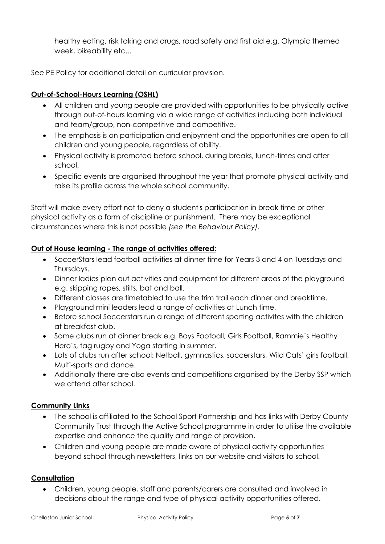healthy eating, risk taking and drugs, road safety and first aid e.g. Olympic themed week, bikeability etc...

See PE Policy for additional detail on curricular provision.

# **Out-of-School-Hours Learning (OSHL)**

- All children and young people are provided with opportunities to be physically active through out-of-hours learning via a wide range of activities including both individual and team/group, non-competitive and competitive.
- The emphasis is on participation and enjoyment and the opportunities are open to all children and young people, regardless of ability.
- Physical activity is promoted before school, during breaks, lunch-times and after school.
- Specific events are organised throughout the year that promote physical activity and raise its profile across the whole school community.

Staff will make every effort not to deny a student's participation in break time or other physical activity as a form of discipline or punishment. There may be exceptional circumstances where this is not possible *(see the Behaviour Policy).*

## **Out of House learning - The range of activities offered:**

- SoccerStars lead football activities at dinner time for Years 3 and 4 on Tuesdays and Thursdays.
- Dinner ladies plan out activities and equipment for different areas of the playground e.g. skipping ropes, stilts, bat and ball.
- Different classes are timetabled to use the trim trail each dinner and breaktime.
- Playground mini leaders lead a range of activities at Lunch time.
- Before school Soccerstars run a range of different sporting activites with the children at breakfast club.
- Some clubs run at dinner break e.g. Boys Football, Girls Football, Rammie's Healthy Hero's, tag rugby and Yoga starting in summer.
- Lots of clubs run after school: Netball, gymnastics, soccerstars, Wild Cats' girls football, Multi-sports and dance.
- Additionally there are also events and competitions organised by the Derby SSP which we attend after school.

# **Community Links**

- The school is affiliated to the School Sport Partnership and has links with Derby County Community Trust through the Active School programme in order to utilise the available expertise and enhance the quality and range of provision.
- Children and young people are made aware of physical activity opportunities beyond school through newsletters, links on our website and visitors to school.

#### **Consultation**

• Children, young people, staff and parents/carers are consulted and involved in decisions about the range and type of physical activity opportunities offered.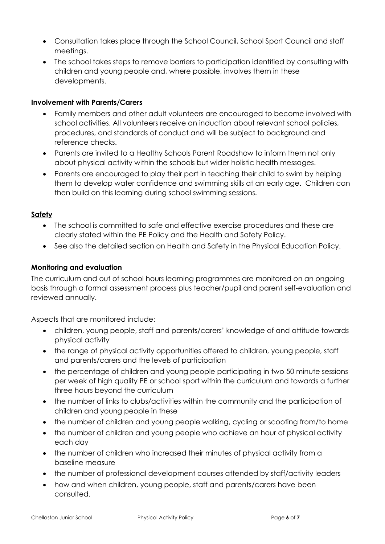- Consultation takes place through the School Council, School Sport Council and staff meetings.
- The school takes steps to remove barriers to participation identified by consulting with children and young people and, where possible, involves them in these developments.

## **Involvement with Parents/Carers**

- Family members and other adult volunteers are encouraged to become involved with school activities. All volunteers receive an induction about relevant school policies, procedures, and standards of conduct and will be subject to background and reference checks.
- Parents are invited to a Healthy Schools Parent Roadshow to inform them not only about physical activity within the schools but wider holistic health messages.
- Parents are encouraged to play their part in teaching their child to swim by helping them to develop water confidence and swimming skills at an early age. Children can then build on this learning during school swimming sessions.

## **Safety**

- The school is committed to safe and effective exercise procedures and these are clearly stated within the PE Policy and the Health and Safety Policy.
- See also the detailed section on Health and Safety in the Physical Education Policy.

#### **Monitoring and evaluation**

The curriculum and out of school hours learning programmes are monitored on an ongoing basis through a formal assessment process plus teacher/pupil and parent self-evaluation and reviewed annually.

Aspects that are monitored include:

- children, young people, staff and parents/carers' knowledge of and attitude towards physical activity
- the range of physical activity opportunities offered to children, young people, staff and parents/carers and the levels of participation
- the percentage of children and young people participating in two 50 minute sessions per week of high quality PE or school sport within the curriculum and towards a further three hours beyond the curriculum
- the number of links to clubs/activities within the community and the participation of children and young people in these
- the number of children and young people walking, cycling or scooting from/to home
- the number of children and young people who achieve an hour of physical activity each day
- the number of children who increased their minutes of physical activity from a baseline measure
- the number of professional development courses attended by staff/activity leaders
- how and when children, young people, staff and parents/carers have been consulted.